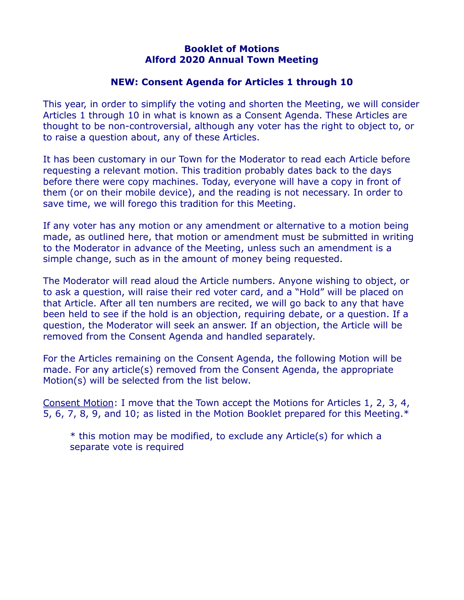## **Booklet of Motions Alford 2020 Annual Town Meeting**

## **NEW: Consent Agenda for Articles 1 through 10**

This year, in order to simplify the voting and shorten the Meeting, we will consider Articles 1 through 10 in what is known as a Consent Agenda. These Articles are thought to be non-controversial, although any voter has the right to object to, or to raise a question about, any of these Articles.

It has been customary in our Town for the Moderator to read each Article before requesting a relevant motion. This tradition probably dates back to the days before there were copy machines. Today, everyone will have a copy in front of them (or on their mobile device), and the reading is not necessary. In order to save time, we will forego this tradition for this Meeting.

If any voter has any motion or any amendment or alternative to a motion being made, as outlined here, that motion or amendment must be submitted in writing to the Moderator in advance of the Meeting, unless such an amendment is a simple change, such as in the amount of money being requested.

The Moderator will read aloud the Article numbers. Anyone wishing to object, or to ask a question, will raise their red voter card, and a "Hold" will be placed on that Article. After all ten numbers are recited, we will go back to any that have been held to see if the hold is an objection, requiring debate, or a question. If a question, the Moderator will seek an answer. If an objection, the Article will be removed from the Consent Agenda and handled separately.

For the Articles remaining on the Consent Agenda, the following Motion will be made. For any article(s) removed from the Consent Agenda, the appropriate Motion(s) will be selected from the list below.

Consent Motion: I move that the Town accept the Motions for Articles 1, 2, 3, 4, 5, 6, 7, 8, 9, and 10; as listed in the Motion Booklet prepared for this Meeting.\*

\* this motion may be modified, to exclude any Article(s) for which a separate vote is required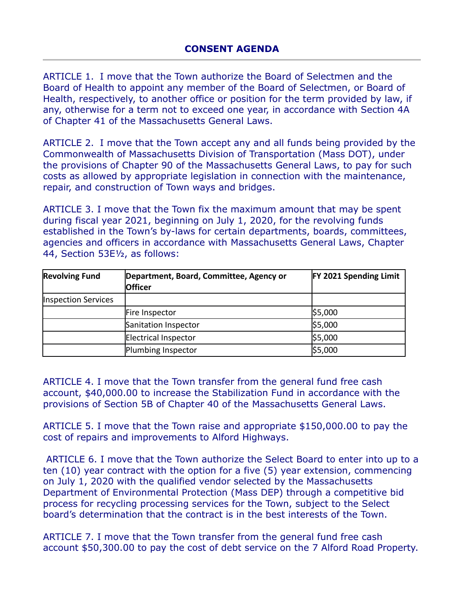ARTICLE 1. I move that the Town authorize the Board of Selectmen and the Board of Health to appoint any member of the Board of Selectmen, or Board of Health, respectively, to another office or position for the term provided by law, if any, otherwise for a term not to exceed one year, in accordance with Section 4A of Chapter 41 of the Massachusetts General Laws.

ARTICLE 2. I move that the Town accept any and all funds being provided by the Commonwealth of Massachusetts Division of Transportation (Mass DOT), under the provisions of Chapter 90 of the Massachusetts General Laws, to pay for such costs as allowed by appropriate legislation in connection with the maintenance, repair, and construction of Town ways and bridges.

ARTICLE 3. I move that the Town fix the maximum amount that may be spent during fiscal year 2021, beginning on July 1, 2020, for the revolving funds established in the Town's by-laws for certain departments, boards, committees, agencies and officers in accordance with Massachusetts General Laws, Chapter 44, Section 53E½, as follows:

| <b>Revolving Fund</b> | Department, Board, Committee, Agency or<br><b>Officer</b> | <b>FY 2021 Spending Limit</b> |
|-----------------------|-----------------------------------------------------------|-------------------------------|
| Inspection Services   |                                                           |                               |
|                       | Fire Inspector                                            | \$5,000                       |
|                       | Sanitation Inspector                                      | \$5,000                       |
|                       | Electrical Inspector                                      | \$5,000                       |
|                       | Plumbing Inspector                                        | \$5,000                       |

ARTICLE 4. I move that the Town transfer from the general fund free cash account, \$40,000.00 to increase the Stabilization Fund in accordance with the provisions of Section 5B of Chapter 40 of the Massachusetts General Laws.

ARTICLE 5. I move that the Town raise and appropriate \$150,000.00 to pay the cost of repairs and improvements to Alford Highways.

ARTICLE 6. I move that the Town authorize the Select Board to enter into up to a ten (10) year contract with the option for a five (5) year extension, commencing on July 1, 2020 with the qualified vendor selected by the Massachusetts Department of Environmental Protection (Mass DEP) through a competitive bid process for recycling processing services for the Town, subject to the Select board's determination that the contract is in the best interests of the Town.

ARTICLE 7. I move that the Town transfer from the general fund free cash account \$50,300.00 to pay the cost of debt service on the 7 Alford Road Property.